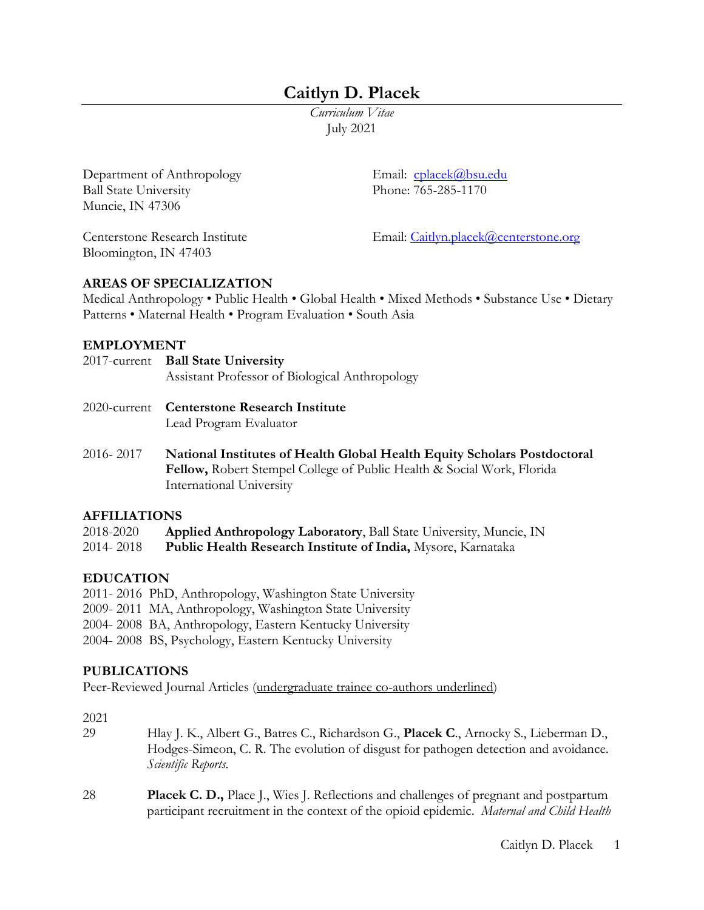# **Caitlyn D. Placek**

*Curriculum Vitae* July 2021

Department of Anthropology Email: cplacek@bsu.edu Ball State University Phone: 765-285-1170 Muncie, IN 47306

Bloomington, IN 47403

Centerstone Research Institute Email: Caitlyn.placek@centerstone.org

### **AREAS OF SPECIALIZATION**

Medical Anthropology • Public Health • Global Health • Mixed Methods • Substance Use • Dietary Patterns • Maternal Health • Program Evaluation • South Asia

#### **EMPLOYMENT**

| 2017-current Ball State University<br>Assistant Professor of Biological Anthropology |
|--------------------------------------------------------------------------------------|
| 2020-current Centerstone Research Institute<br>Lead Program Evaluator                |

2016- 2017 **National Institutes of Health Global Health Equity Scholars Postdoctoral Fellow,** Robert Stempel College of Public Health & Social Work, Florida International University

#### **AFFILIATIONS**

| 2018-2020 | Applied Anthropology Laboratory, Ball State University, Muncie, IN  |
|-----------|---------------------------------------------------------------------|
| 2014-2018 | <b>Public Health Research Institute of India, Mysore, Karnataka</b> |

### **EDUCATION**

- 2011- 2016 PhD, Anthropology, Washington State University
- 2009- 2011 MA, Anthropology, Washington State University
- 2004- 2008 BA, Anthropology, Eastern Kentucky University
- 2004- 2008 BS, Psychology, Eastern Kentucky University

### **PUBLICATIONS**

Peer-Reviewed Journal Articles (undergraduate trainee co-authors underlined)

#### 2021

- 29 Hlay J. K., Albert G., Batres C., Richardson G., **Placek C**., Arnocky S., Lieberman D., Hodges-Simeon, C. R. The evolution of disgust for pathogen detection and avoidance. *Scientific Reports*.
- 28 **Placek C. D.,** Place J., Wies J. Reflections and challenges of pregnant and postpartum participant recruitment in the context of the opioid epidemic. *Maternal and Child Health*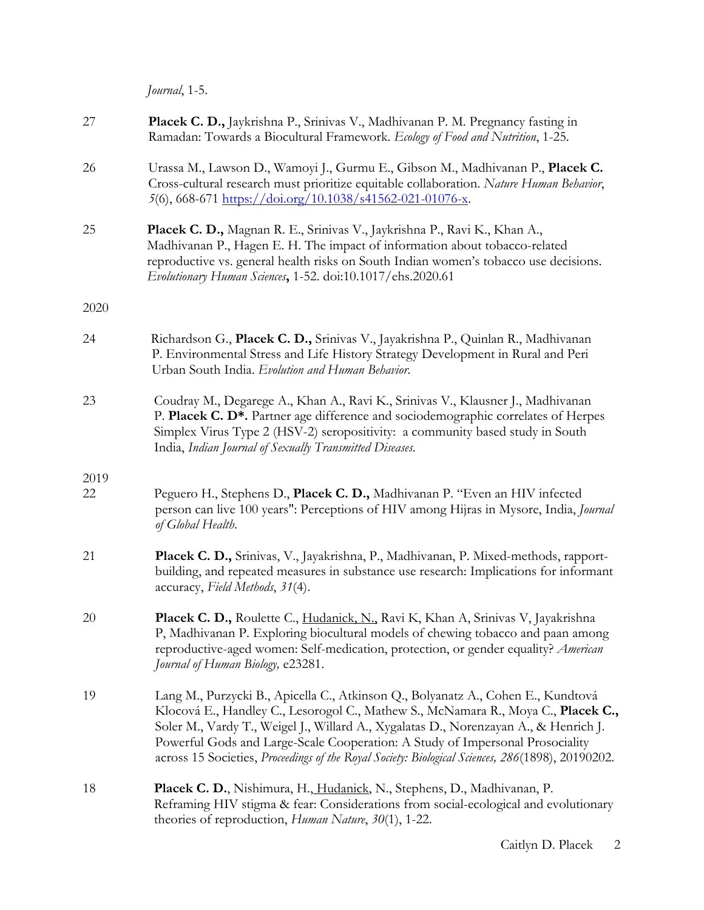*Journal*, 1-5.

| 27   | Placek C. D., Jaykrishna P., Srinivas V., Madhivanan P. M. Pregnancy fasting in<br>Ramadan: Towards a Biocultural Framework. Ecology of Food and Nutrition, 1-25.                                                                                                                                                                                                                                                                                  |
|------|----------------------------------------------------------------------------------------------------------------------------------------------------------------------------------------------------------------------------------------------------------------------------------------------------------------------------------------------------------------------------------------------------------------------------------------------------|
| 26   | Urassa M., Lawson D., Wamoyi J., Gurmu E., Gibson M., Madhivanan P., Placek C.<br>Cross-cultural research must prioritize equitable collaboration. Nature Human Behavior,<br>5(6), 668-671 https://doi.org/10.1038/s41562-021-01076-x.                                                                                                                                                                                                             |
| 25   | Placek C. D., Magnan R. E., Srinivas V., Jaykrishna P., Ravi K., Khan A.,<br>Madhivanan P., Hagen E. H. The impact of information about tobacco-related<br>reproductive vs. general health risks on South Indian women's tobacco use decisions.<br>Evolutionary Human Sciences, 1-52. doi:10.1017/ehs.2020.61                                                                                                                                      |
| 2020 |                                                                                                                                                                                                                                                                                                                                                                                                                                                    |
| 24   | Richardson G., Placek C. D., Srinivas V., Jayakrishna P., Quinlan R., Madhivanan<br>P. Environmental Stress and Life History Strategy Development in Rural and Peri<br>Urban South India. Evolution and Human Behavior.                                                                                                                                                                                                                            |
| 23   | Coudray M., Degarege A., Khan A., Ravi K., Srinivas V., Klausner J., Madhivanan<br>P. Placek C. D*. Partner age difference and sociodemographic correlates of Herpes<br>Simplex Virus Type 2 (HSV-2) seropositivity: a community based study in South<br>India, Indian Journal of Sexually Transmitted Diseases.                                                                                                                                   |
| 2019 |                                                                                                                                                                                                                                                                                                                                                                                                                                                    |
| 22   | Peguero H., Stephens D., Placek C. D., Madhivanan P. "Even an HIV infected<br>person can live 100 years": Perceptions of HIV among Hijras in Mysore, India, Journal<br>of Global Health.                                                                                                                                                                                                                                                           |
| 21   | Placek C. D., Srinivas, V., Jayakrishna, P., Madhivanan, P. Mixed-methods, rapport-<br>building, and repeated measures in substance use research: Implications for informant<br>accuracy, Field Methods, 31(4).                                                                                                                                                                                                                                    |
| 20   | Placek C. D., Roulette C., Hudanick, N., Ravi K, Khan A, Srinivas V, Jayakrishna<br>P, Madhivanan P. Exploring biocultural models of chewing tobacco and paan among<br>reproductive-aged women: Self-medication, protection, or gender equality? American<br>Journal of Human Biology, e23281.                                                                                                                                                     |
| 19   | Lang M., Purzycki B., Apicella C., Atkinson Q., Bolyanatz A., Cohen E., Kundtová<br>Klocová E., Handley C., Lesorogol C., Mathew S., McNamara R., Moya C., Placek C.,<br>Soler M., Vardy T., Weigel J., Willard A., Xygalatas D., Norenzayan A., & Henrich J.<br>Powerful Gods and Large-Scale Cooperation: A Study of Impersonal Prosociality<br>across 15 Societies, Proceedings of the Royal Society: Biological Sciences, 286(1898), 20190202. |
| 18   | Placek C. D., Nishimura, H., Hudanick, N., Stephens, D., Madhivanan, P.<br>Reframing HIV stigma & fear: Considerations from social-ecological and evolutionary<br>theories of reproduction, Human Nature, 30(1), 1-22.                                                                                                                                                                                                                             |
|      |                                                                                                                                                                                                                                                                                                                                                                                                                                                    |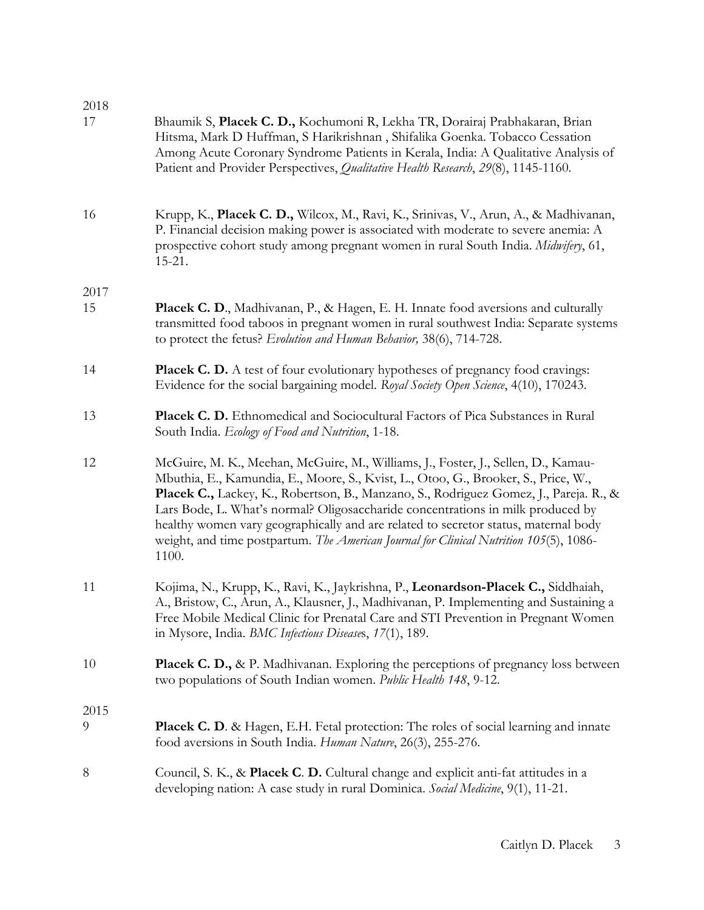| 2018<br>17 | Bhaumik S, Placek C. D., Kochumoni R, Lekha TR, Dorairaj Prabhakaran, Brian<br>Hitsma, Mark D Huffman, S Harikrishnan, Shifalika Goenka. Tobacco Cessation<br>Among Acute Coronary Syndrome Patients in Kerala, India: A Qualitative Analysis of<br>Patient and Provider Perspectives, Qualitative Health Research, 29(8), 1145-1160.                                                                                                                                                                                                         |
|------------|-----------------------------------------------------------------------------------------------------------------------------------------------------------------------------------------------------------------------------------------------------------------------------------------------------------------------------------------------------------------------------------------------------------------------------------------------------------------------------------------------------------------------------------------------|
| 16         | Krupp, K., Placek C. D., Wilcox, M., Ravi, K., Srinivas, V., Arun, A., & Madhivanan,<br>P. Financial decision making power is associated with moderate to severe anemia: A<br>prospective cohort study among pregnant women in rural South India. Midwifery, 61,<br>$15 - 21.$                                                                                                                                                                                                                                                                |
| 2017       |                                                                                                                                                                                                                                                                                                                                                                                                                                                                                                                                               |
| 15         | Placek C. D., Madhivanan, P., & Hagen, E. H. Innate food aversions and culturally<br>transmitted food taboos in pregnant women in rural southwest India: Separate systems<br>to protect the fetus? Evolution and Human Behavior, 38(6), 714-728.                                                                                                                                                                                                                                                                                              |
| 14         | <b>Placek C. D.</b> A test of four evolutionary hypotheses of pregnancy food cravings:<br>Evidence for the social bargaining model. Royal Society Open Science, 4(10), 170243.                                                                                                                                                                                                                                                                                                                                                                |
| 13         | Placek C. D. Ethnomedical and Sociocultural Factors of Pica Substances in Rural<br>South India. Ecology of Food and Nutrition, 1-18.                                                                                                                                                                                                                                                                                                                                                                                                          |
| 12         | McGuire, M. K., Meehan, McGuire, M., Williams, J., Foster, J., Sellen, D., Kamau-<br>Mbuthia, E., Kamundia, E., Moore, S., Kvist, L., Otoo, G., Brooker, S., Price, W.,<br>Placek C., Lackey, K., Robertson, B., Manzano, S., Rodriguez Gomez, J., Pareja. R., &<br>Lars Bode, L. What's normal? Oligosaccharide concentrations in milk produced by<br>healthy women vary geographically and are related to secretor status, maternal body<br>weight, and time postpartum. The American Journal for Clinical Nutrition 105(5), 1086-<br>1100. |
| 11         | Kojima, N., Krupp, K., Ravi, K., Jaykrishna, P., Leonardson-Placek C., Siddhaiah,<br>A., Bristow, C., Arun, A., Klausner, J., Madhivanan, P. Implementing and Sustaining a<br>Free Mobile Medical Clinic for Prenatal Care and STI Prevention in Pregnant Women<br>in Mysore, India. BMC Infectious Diseases, 17(1), 189.                                                                                                                                                                                                                     |
| 10         | Placek C. D., & P. Madhivanan. Exploring the perceptions of pregnancy loss between<br>two populations of South Indian women. Public Health 148, 9-12.                                                                                                                                                                                                                                                                                                                                                                                         |
| 2015       |                                                                                                                                                                                                                                                                                                                                                                                                                                                                                                                                               |
| 9          | <b>Placek C. D.</b> & Hagen, E.H. Fetal protection: The roles of social learning and innate<br>food aversions in South India. Human Nature, 26(3), 255-276.                                                                                                                                                                                                                                                                                                                                                                                   |
| 8          | Council, S. K., & Placek C. D. Cultural change and explicit anti-fat attitudes in a<br>developing nation: A case study in rural Dominica. Social Medicine, 9(1), 11-21.                                                                                                                                                                                                                                                                                                                                                                       |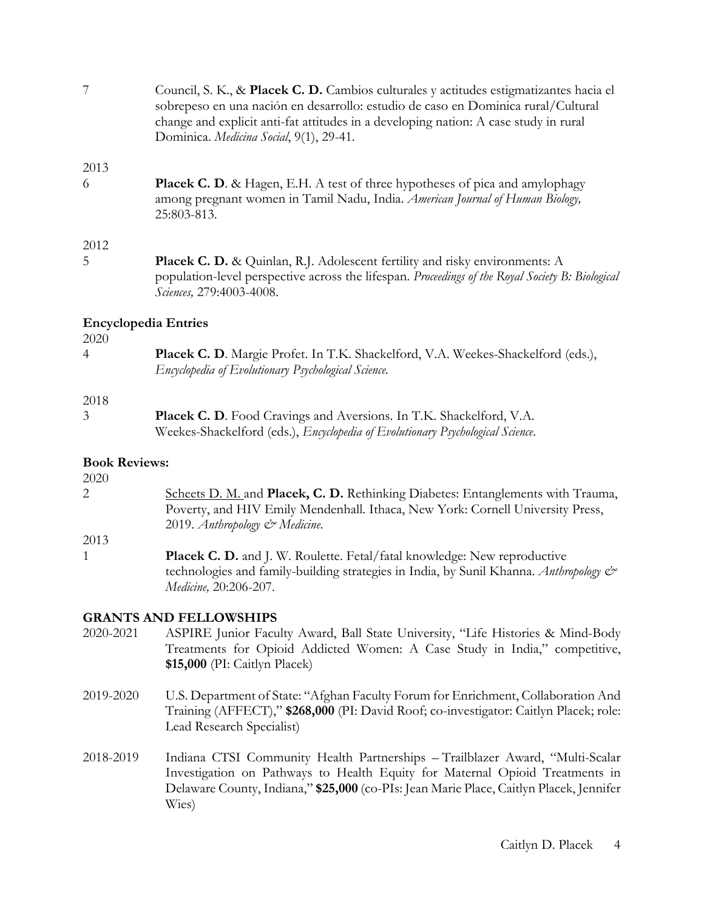7 Council, S. K., & **Placek C. D.** Cambios culturales y actitudes estigmatizantes hacia el sobrepeso en una nación en desarrollo: estudio de caso en Dominica rural/Cultural change and explicit anti-fat attitudes in a developing nation: A case study in rural Dominica. *Medicina Social*, 9(1), 29-41.

2013

6 **Placek C. D**. & Hagen, E.H. A test of three hypotheses of pica and amylophagy among pregnant women in Tamil Nadu, India. *American Journal of Human Biology,* 25:803-813.

### 2012

5 **Placek C. D.** & Quinlan, R.J. Adolescent fertility and risky environments: A population-level perspective across the lifespan. *Proceedings of the Royal Society B: Biological Sciences,* 279:4003-4008.

## **Encyclopedia Entries**

#### 2020

| <b>Placek C. D.</b> Margie Profet. In T.K. Shackelford, V.A. Weekes-Shackelford (eds.), |
|-----------------------------------------------------------------------------------------|
| Encyclopedia of Evolutionary Psychological Science.                                     |

### 2018

3 **Placek C. D**. Food Cravings and Aversions. In T.K. Shackelford, V.A. Weekes-Shackelford (eds.), *Encyclopedia of Evolutionary Psychological Science*.

## **Book Reviews:**

- 2020 2 Scheets D. M. and **Placek, C. D.** Rethinking Diabetes: Entanglements with Trauma, Poverty, and HIV Emily Mendenhall. Ithaca, New York: Cornell University Press, 2019. *Anthropology & Medicine*.
- 2013
- 1 **Placek C. D.** and J. W. Roulette. Fetal/fatal knowledge: New reproductive technologies and family-building strategies in India, by Sunil Khanna. *Anthropology & Medicine,* 20:206-207.

## **GRANTS AND FELLOWSHIPS**

- 2020-2021 ASPIRE Junior Faculty Award, Ball State University, "Life Histories & Mind-Body Treatments for Opioid Addicted Women: A Case Study in India," competitive, **\$15,000** (PI: Caitlyn Placek)
- 2019-2020 U.S. Department of State: "Afghan Faculty Forum for Enrichment, Collaboration And Training (AFFECT)," **\$268,000** (PI: David Roof; co-investigator: Caitlyn Placek; role: Lead Research Specialist)
- 2018-2019 Indiana CTSI Community Health Partnerships Trailblazer Award, "Multi-Scalar Investigation on Pathways to Health Equity for Maternal Opioid Treatments in Delaware County, Indiana," **\$25,000** (co-PIs: Jean Marie Place, Caitlyn Placek, Jennifer Wies)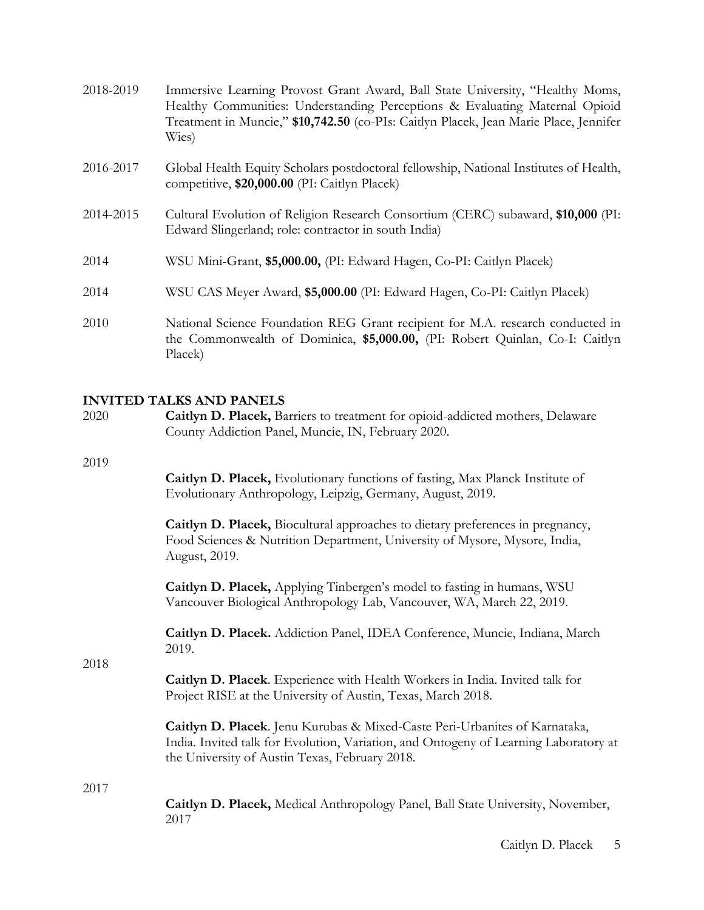| Immersive Learning Provost Grant Award, Ball State University, "Healthy Moms,<br>Healthy Communities: Understanding Perceptions & Evaluating Maternal Opioid<br>Treatment in Muncie," \$10,742.50 (co-PIs: Caitlyn Placek, Jean Marie Place, Jennifer<br>Wies) |
|----------------------------------------------------------------------------------------------------------------------------------------------------------------------------------------------------------------------------------------------------------------|
| Global Health Equity Scholars postdoctoral fellowship, National Institutes of Health,<br>competitive, \$20,000.00 (PI: Caitlyn Placek)                                                                                                                         |
| Cultural Evolution of Religion Research Consortium (CERC) subaward, \$10,000 (PI:<br>Edward Slingerland; role: contractor in south India)                                                                                                                      |
| WSU Mini-Grant, \$5,000.00, (PI: Edward Hagen, Co-PI: Caitlyn Placek)                                                                                                                                                                                          |
| WSU CAS Meyer Award, \$5,000.00 (PI: Edward Hagen, Co-PI: Caitlyn Placek)                                                                                                                                                                                      |
| National Science Foundation REG Grant recipient for M.A. research conducted in<br>the Commonwealth of Dominica, \$5,000.00, (PI: Robert Quinlan, Co-I: Caitlyn<br>Placek)                                                                                      |
|                                                                                                                                                                                                                                                                |

### **INVITED TALKS AND PANELS**

| 2020 | Caitlyn D. Placek, Barriers to treatment for opioid-addicted mothers, Delaware<br>County Addiction Panel, Muncie, IN, February 2020.                                                                                 |  |
|------|----------------------------------------------------------------------------------------------------------------------------------------------------------------------------------------------------------------------|--|
| 2019 | Caitlyn D. Placek, Evolutionary functions of fasting, Max Planck Institute of<br>Evolutionary Anthropology, Leipzig, Germany, August, 2019.                                                                          |  |
|      | Caitlyn D. Placek, Biocultural approaches to dietary preferences in pregnancy,<br>Food Sciences & Nutrition Department, University of Mysore, Mysore, India,<br>August, 2019.                                        |  |
|      | Caitlyn D. Placek, Applying Tinbergen's model to fasting in humans, WSU<br>Vancouver Biological Anthropology Lab, Vancouver, WA, March 22, 2019.                                                                     |  |
| 2018 | Caitlyn D. Placek. Addiction Panel, IDEA Conference, Muncie, Indiana, March<br>2019.                                                                                                                                 |  |
|      | Caitlyn D. Placek. Experience with Health Workers in India. Invited talk for<br>Project RISE at the University of Austin, Texas, March 2018.                                                                         |  |
|      | Caitlyn D. Placek. Jenu Kurubas & Mixed-Caste Peri-Urbanites of Karnataka,<br>India. Invited talk for Evolution, Variation, and Ontogeny of Learning Laboratory at<br>the University of Austin Texas, February 2018. |  |
| 2017 |                                                                                                                                                                                                                      |  |
|      | Caitlyn D. Placek, Medical Anthropology Panel, Ball State University, November,<br>2017                                                                                                                              |  |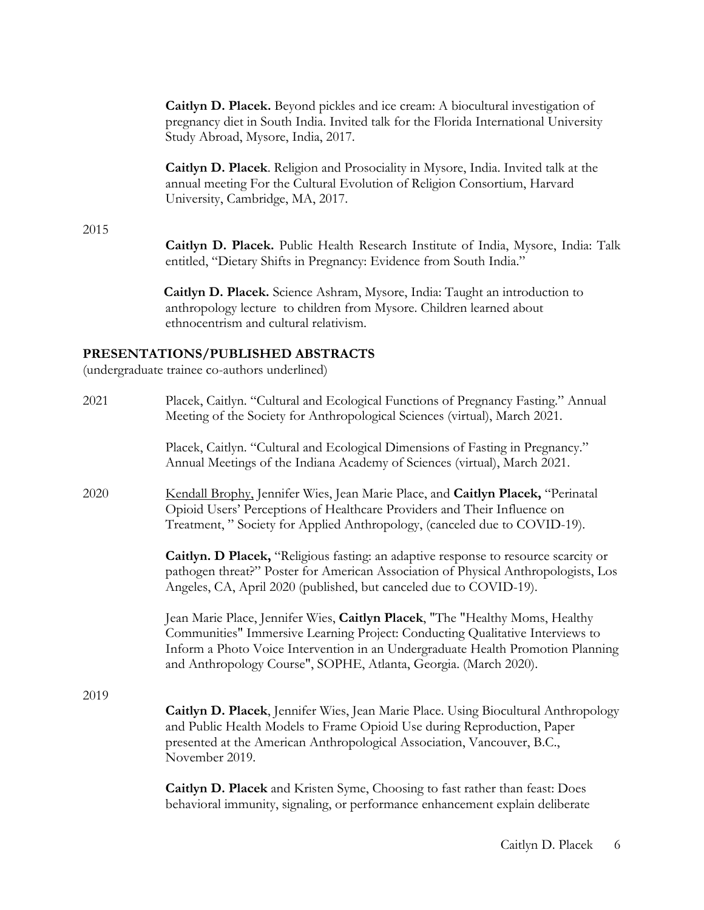**Caitlyn D. Placek.** Beyond pickles and ice cream: A biocultural investigation of pregnancy diet in South India. Invited talk for the Florida International University Study Abroad, Mysore, India, 2017.

**Caitlyn D. Placek**. Religion and Prosociality in Mysore, India. Invited talk at the annual meeting For the Cultural Evolution of Religion Consortium, Harvard University, Cambridge, MA, 2017.

2015

**Caitlyn D. Placek.** Public Health Research Institute of India, Mysore, India: Talk entitled, "Dietary Shifts in Pregnancy: Evidence from South India."

 **Caitlyn D. Placek.** Science Ashram, Mysore, India: Taught an introduction to anthropology lecture to children from Mysore. Children learned about ethnocentrism and cultural relativism.

### **PRESENTATIONS/PUBLISHED ABSTRACTS**

(undergraduate trainee co-authors underlined)

| 2021 | Placek, Caitlyn. "Cultural and Ecological Functions of Pregnancy Fasting." Annual<br>Meeting of the Society for Anthropological Sciences (virtual), March 2021.                                                                                                                                                      |
|------|----------------------------------------------------------------------------------------------------------------------------------------------------------------------------------------------------------------------------------------------------------------------------------------------------------------------|
|      | Placek, Caitlyn. "Cultural and Ecological Dimensions of Fasting in Pregnancy."<br>Annual Meetings of the Indiana Academy of Sciences (virtual), March 2021.                                                                                                                                                          |
| 2020 | Kendall Brophy, Jennifer Wies, Jean Marie Place, and Caitlyn Placek, "Perinatal<br>Opioid Users' Perceptions of Healthcare Providers and Their Influence on<br>Treatment," Society for Applied Anthropology, (canceled due to COVID-19).                                                                             |
|      | Caitlyn. D Placek, "Religious fasting: an adaptive response to resource scarcity or<br>pathogen threat?" Poster for American Association of Physical Anthropologists, Los<br>Angeles, CA, April 2020 (published, but canceled due to COVID-19).                                                                      |
|      | Jean Marie Place, Jennifer Wies, Caitlyn Placek, "The "Healthy Moms, Healthy<br>Communities" Immersive Learning Project: Conducting Qualitative Interviews to<br>Inform a Photo Voice Intervention in an Undergraduate Health Promotion Planning<br>and Anthropology Course", SOPHE, Atlanta, Georgia. (March 2020). |
| 2019 |                                                                                                                                                                                                                                                                                                                      |
|      | Caitlyn D. Placek, Jennifer Wies, Jean Marie Place. Using Biocultural Anthropology<br>and Public Health Models to Frame Opioid Use during Reproduction, Paper<br>presented at the American Anthropological Association, Vancouver, B.C.,<br>November 2019.                                                           |
|      | Caitlyn D. Placek and Kristen Syme, Choosing to fast rather than feast: Does<br>behavioral immunity, signaling, or performance enhancement explain deliberate                                                                                                                                                        |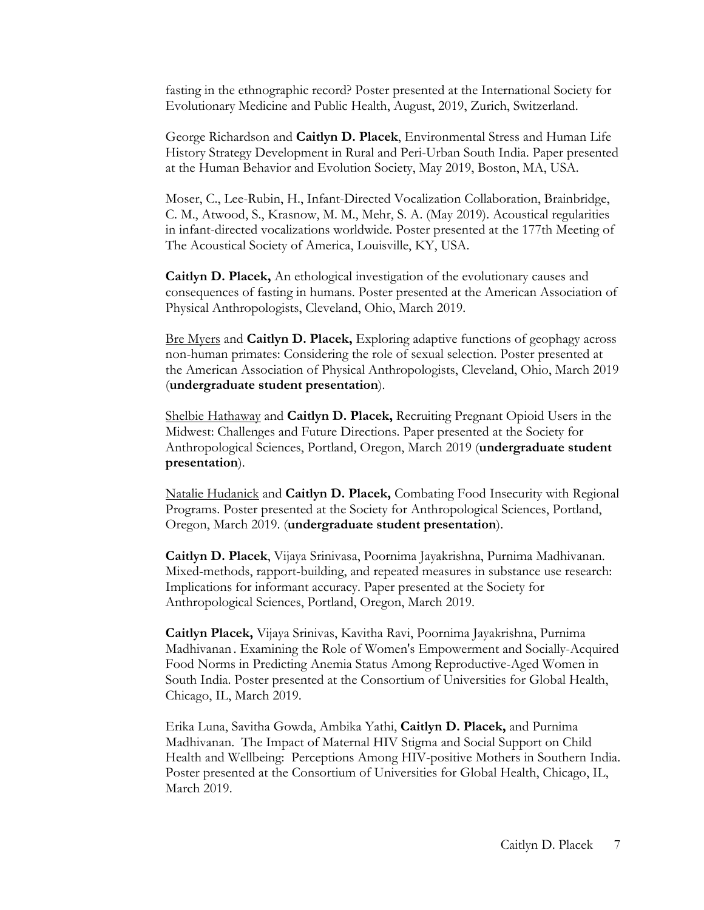fasting in the ethnographic record? Poster presented at the International Society for Evolutionary Medicine and Public Health, August, 2019, Zurich, Switzerland.

George Richardson and **Caitlyn D. Placek**, Environmental Stress and Human Life History Strategy Development in Rural and Peri-Urban South India. Paper presented at the Human Behavior and Evolution Society, May 2019, Boston, MA, USA.

Moser, C., Lee-Rubin, H., Infant-Directed Vocalization Collaboration, Brainbridge, C. M., Atwood, S., Krasnow, M. M., Mehr, S. A. (May 2019). Acoustical regularities in infant-directed vocalizations worldwide. Poster presented at the 177th Meeting of The Acoustical Society of America, Louisville, KY, USA.

**Caitlyn D. Placek,** An ethological investigation of the evolutionary causes and consequences of fasting in humans. Poster presented at the American Association of Physical Anthropologists, Cleveland, Ohio, March 2019.

Bre Myers and **Caitlyn D. Placek,** Exploring adaptive functions of geophagy across non-human primates: Considering the role of sexual selection. Poster presented at the American Association of Physical Anthropologists, Cleveland, Ohio, March 2019 (**undergraduate student presentation**).

Shelbie Hathaway and **Caitlyn D. Placek,** Recruiting Pregnant Opioid Users in the Midwest: Challenges and Future Directions. Paper presented at the Society for Anthropological Sciences, Portland, Oregon, March 2019 (**undergraduate student presentation**).

Natalie Hudanick and **Caitlyn D. Placek,** Combating Food Insecurity with Regional Programs. Poster presented at the Society for Anthropological Sciences, Portland, Oregon, March 2019. (**undergraduate student presentation**).

**Caitlyn D. Placek**, Vijaya Srinivasa, Poornima Jayakrishna, Purnima Madhivanan. Mixed-methods, rapport-building, and repeated measures in substance use research: Implications for informant accuracy. Paper presented at the Society for Anthropological Sciences, Portland, Oregon, March 2019.

**Caitlyn Placek,** Vijaya Srinivas, Kavitha Ravi, Poornima Jayakrishna, Purnima Madhivanan . Examining the Role of Women's Empowerment and Socially-Acquired Food Norms in Predicting Anemia Status Among Reproductive-Aged Women in South India. Poster presented at the Consortium of Universities for Global Health, Chicago, IL, March 2019.

Erika Luna, Savitha Gowda, Ambika Yathi, **Caitlyn D. Placek,** and Purnima Madhivanan. The Impact of Maternal HIV Stigma and Social Support on Child Health and Wellbeing: Perceptions Among HIV-positive Mothers in Southern India. Poster presented at the Consortium of Universities for Global Health, Chicago, IL, March 2019.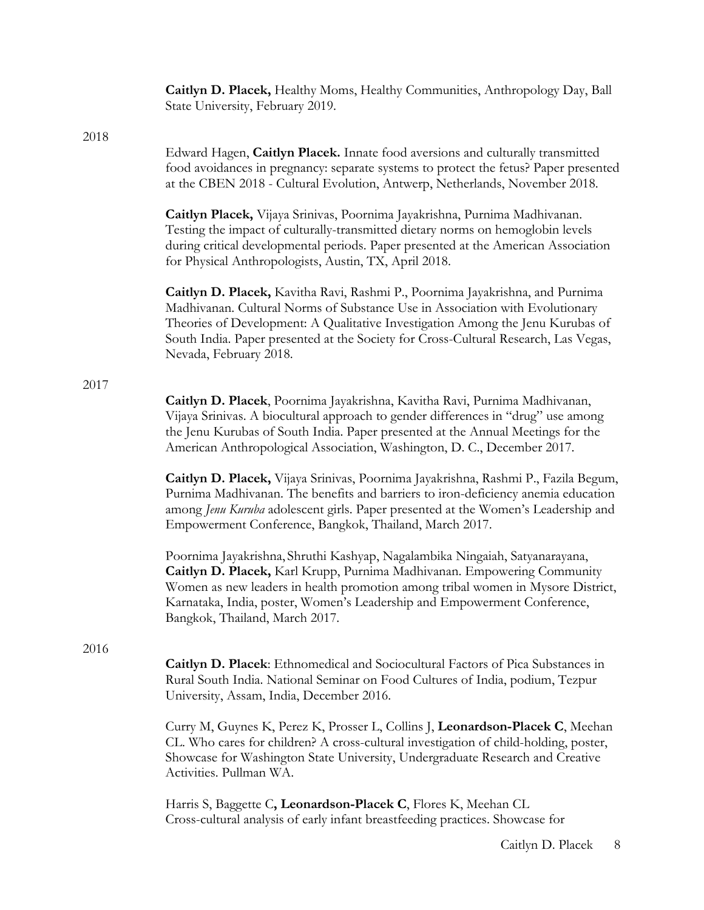|      | Caitlyn D. Placek, Healthy Moms, Healthy Communities, Anthropology Day, Ball<br>State University, February 2019.                                                                                                                                                                                                                                                 |
|------|------------------------------------------------------------------------------------------------------------------------------------------------------------------------------------------------------------------------------------------------------------------------------------------------------------------------------------------------------------------|
|      |                                                                                                                                                                                                                                                                                                                                                                  |
| 2018 | Edward Hagen, Caitlyn Placek. Innate food aversions and culturally transmitted<br>food avoidances in pregnancy: separate systems to protect the fetus? Paper presented<br>at the CBEN 2018 - Cultural Evolution, Antwerp, Netherlands, November 2018.                                                                                                            |
|      | Caitlyn Placek, Vijaya Srinivas, Poornima Jayakrishna, Purnima Madhivanan.<br>Testing the impact of culturally-transmitted dietary norms on hemoglobin levels<br>during critical developmental periods. Paper presented at the American Association<br>for Physical Anthropologists, Austin, TX, April 2018.                                                     |
|      | Caitlyn D. Placek, Kavitha Ravi, Rashmi P., Poornima Jayakrishna, and Purnima<br>Madhivanan. Cultural Norms of Substance Use in Association with Evolutionary<br>Theories of Development: A Qualitative Investigation Among the Jenu Kurubas of<br>South India. Paper presented at the Society for Cross-Cultural Research, Las Vegas,<br>Nevada, February 2018. |
|      |                                                                                                                                                                                                                                                                                                                                                                  |
| 2017 | Caitlyn D. Placek, Poornima Jayakrishna, Kavitha Ravi, Purnima Madhivanan,<br>Vijaya Srinivas. A biocultural approach to gender differences in "drug" use among<br>the Jenu Kurubas of South India. Paper presented at the Annual Meetings for the<br>American Anthropological Association, Washington, D. C., December 2017.                                    |
|      | Caitlyn D. Placek, Vijaya Srinivas, Poornima Jayakrishna, Rashmi P., Fazila Begum,<br>Purnima Madhivanan. The benefits and barriers to iron-deficiency anemia education<br>among Jenu Kuruba adolescent girls. Paper presented at the Women's Leadership and<br>Empowerment Conference, Bangkok, Thailand, March 2017.                                           |
|      | Poornima Jayakrishna, Shruthi Kashyap, Nagalambika Ningaiah, Satyanarayana,<br>Caitlyn D. Placek, Karl Krupp, Purnima Madhivanan. Empowering Community<br>Women as new leaders in health promotion among tribal women in Mysore District,<br>Karnataka, India, poster, Women's Leadership and Empowerment Conference,<br>Bangkok, Thailand, March 2017.          |
|      |                                                                                                                                                                                                                                                                                                                                                                  |
| 2016 | <b>Caitlyn D. Placek:</b> Ethnomedical and Sociocultural Factors of Pica Substances in<br>Rural South India. National Seminar on Food Cultures of India, podium, Tezpur<br>University, Assam, India, December 2016.                                                                                                                                              |
|      | Curry M, Guynes K, Perez K, Prosser L, Collins J, Leonardson-Placek C, Meehan<br>CL. Who cares for children? A cross-cultural investigation of child-holding, poster,<br>Showcase for Washington State University, Undergraduate Research and Creative<br>Activities. Pullman WA.                                                                                |
|      | Harris S, Baggette C, Leonardson-Placek C, Flores K, Meehan CL<br>Cross-cultural analysis of early infant breastfeeding practices. Showcase for                                                                                                                                                                                                                  |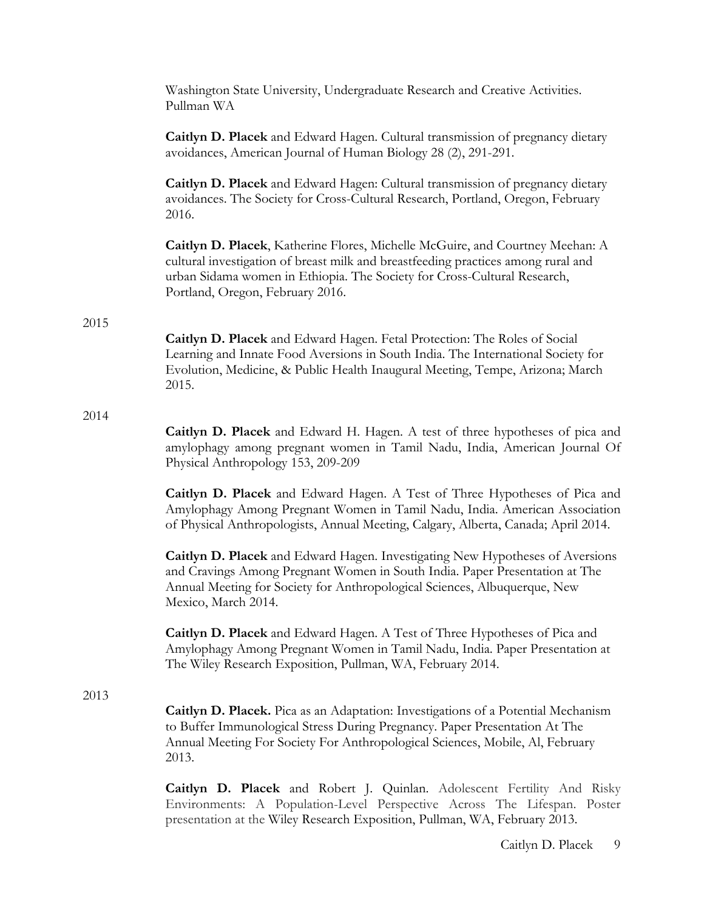|      | Washington State University, Undergraduate Research and Creative Activities.<br>Pullman WA                                                                                                                                                                                         |
|------|------------------------------------------------------------------------------------------------------------------------------------------------------------------------------------------------------------------------------------------------------------------------------------|
|      | Caitlyn D. Placek and Edward Hagen. Cultural transmission of pregnancy dietary<br>avoidances, American Journal of Human Biology 28 (2), 291-291.                                                                                                                                   |
|      | Caitlyn D. Placek and Edward Hagen: Cultural transmission of pregnancy dietary<br>avoidances. The Society for Cross-Cultural Research, Portland, Oregon, February<br>2016.                                                                                                         |
|      | Caitlyn D. Placek, Katherine Flores, Michelle McGuire, and Courtney Meehan: A<br>cultural investigation of breast milk and breastfeeding practices among rural and<br>urban Sidama women in Ethiopia. The Society for Cross-Cultural Research,<br>Portland, Oregon, February 2016. |
| 2015 | Caitlyn D. Placek and Edward Hagen. Fetal Protection: The Roles of Social<br>Learning and Innate Food Aversions in South India. The International Society for<br>Evolution, Medicine, & Public Health Inaugural Meeting, Tempe, Arizona; March<br>2015.                            |
| 2014 | Caitlyn D. Placek and Edward H. Hagen. A test of three hypotheses of pica and<br>amylophagy among pregnant women in Tamil Nadu, India, American Journal Of<br>Physical Anthropology 153, 209-209                                                                                   |
|      | <b>Caitlyn D. Placek</b> and Edward Hagen. A Test of Three Hypotheses of Pica and<br>Amylophagy Among Pregnant Women in Tamil Nadu, India. American Association<br>of Physical Anthropologists, Annual Meeting, Calgary, Alberta, Canada; April 2014.                              |
|      | Caitlyn D. Placek and Edward Hagen. Investigating New Hypotheses of Aversions<br>and Cravings Among Pregnant Women in South India. Paper Presentation at The<br>Annual Meeting for Society for Anthropological Sciences, Albuquerque, New<br>Mexico, March 2014.                   |
|      | <b>Caitlyn D. Placek</b> and Edward Hagen. A Test of Three Hypotheses of Pica and<br>Amylophagy Among Pregnant Women in Tamil Nadu, India. Paper Presentation at<br>The Wiley Research Exposition, Pullman, WA, February 2014.                                                     |
| 2013 | Caitlyn D. Placek. Pica as an Adaptation: Investigations of a Potential Mechanism<br>to Buffer Immunological Stress During Pregnancy. Paper Presentation At The<br>Annual Meeting For Society For Anthropological Sciences, Mobile, Al, February<br>2013.                          |
|      | Caitlyn D. Placek and Robert J. Quinlan. Adolescent Fertility And Risky<br>Environments: A Population-Level Perspective Across The Lifespan. Poster<br>presentation at the Wiley Research Exposition, Pullman, WA, February 2013.                                                  |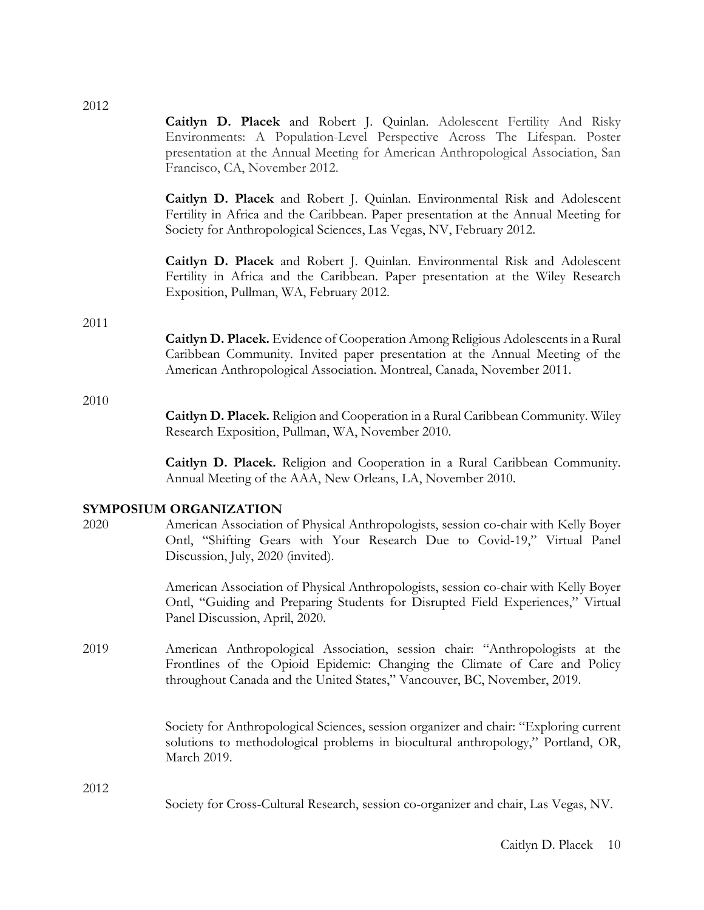2012 **Caitlyn D. Placek** and Robert J. Quinlan. Adolescent Fertility And Risky Environments: A Population-Level Perspective Across The Lifespan. Poster presentation at the Annual Meeting for American Anthropological Association, San Francisco, CA, November 2012.

> **Caitlyn D. Placek** and Robert J. Quinlan. Environmental Risk and Adolescent Fertility in Africa and the Caribbean. Paper presentation at the Annual Meeting for Society for Anthropological Sciences, Las Vegas, NV, February 2012.

> **Caitlyn D. Placek** and Robert J. Quinlan. Environmental Risk and Adolescent Fertility in Africa and the Caribbean. Paper presentation at the Wiley Research Exposition, Pullman, WA, February 2012.

#### 2011

**Caitlyn D. Placek.** Evidence of Cooperation Among Religious Adolescents in a Rural Caribbean Community. Invited paper presentation at the Annual Meeting of the American Anthropological Association. Montreal, Canada, November 2011.

#### 2010

**Caitlyn D. Placek.** Religion and Cooperation in a Rural Caribbean Community. Wiley Research Exposition, Pullman, WA, November 2010.

**Caitlyn D. Placek.** Religion and Cooperation in a Rural Caribbean Community. Annual Meeting of the AAA, New Orleans, LA, November 2010.

#### **SYMPOSIUM ORGANIZATION**

2020 American Association of Physical Anthropologists, session co-chair with Kelly Boyer Ontl, "Shifting Gears with Your Research Due to Covid-19," Virtual Panel Discussion, July, 2020 (invited).

> American Association of Physical Anthropologists, session co-chair with Kelly Boyer Ontl, "Guiding and Preparing Students for Disrupted Field Experiences," Virtual Panel Discussion, April, 2020.

2019 American Anthropological Association, session chair: "Anthropologists at the Frontlines of the Opioid Epidemic: Changing the Climate of Care and Policy throughout Canada and the United States," Vancouver, BC, November, 2019.

> Society for Anthropological Sciences, session organizer and chair: "Exploring current solutions to methodological problems in biocultural anthropology," Portland, OR, March 2019.

2012

Society for Cross-Cultural Research, session co-organizer and chair, Las Vegas, NV.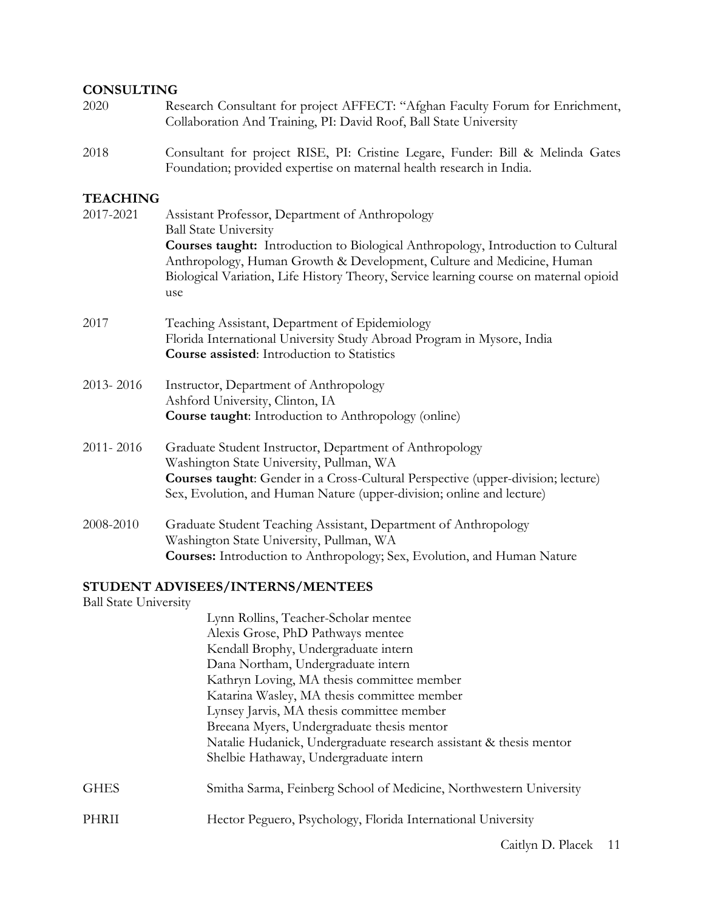#### **CONSULTING**

- 2020 Research Consultant for project AFFECT: "Afghan Faculty Forum for Enrichment, Collaboration And Training, PI: David Roof, Ball State University
- 2018 Consultant for project RISE, PI: Cristine Legare, Funder: Bill & Melinda Gates Foundation; provided expertise on maternal health research in India.

### **TEACHING**

| 2017-2021 | Assistant Professor, Department of Anthropology<br><b>Ball State University</b>                                                                                                                                                                                         |
|-----------|-------------------------------------------------------------------------------------------------------------------------------------------------------------------------------------------------------------------------------------------------------------------------|
|           | Courses taught: Introduction to Biological Anthropology, Introduction to Cultural<br>Anthropology, Human Growth & Development, Culture and Medicine, Human<br>Biological Variation, Life History Theory, Service learning course on maternal opioid<br>use              |
| 2017      | Teaching Assistant, Department of Epidemiology<br>Florida International University Study Abroad Program in Mysore, India<br><b>Course assisted:</b> Introduction to Statistics                                                                                          |
| 2013-2016 | Instructor, Department of Anthropology<br>Ashford University, Clinton, IA<br><b>Course taught:</b> Introduction to Anthropology (online)                                                                                                                                |
| 2011-2016 | Graduate Student Instructor, Department of Anthropology<br>Washington State University, Pullman, WA<br><b>Courses taught:</b> Gender in a Cross-Cultural Perspective (upper-division; lecture)<br>Sex, Evolution, and Human Nature (upper-division; online and lecture) |
| 2008-2010 | Graduate Student Teaching Assistant, Department of Anthropology<br>Washington State University, Pullman, WA<br><b>Courses:</b> Introduction to Anthropology; Sex, Evolution, and Human Nature                                                                           |

## **STUDENT ADVISEES/INTERNS/MENTEES**

Ball State University

|       | Lynn Rollins, Teacher-Scholar mentee                               |
|-------|--------------------------------------------------------------------|
|       | Alexis Grose, PhD Pathways mentee                                  |
|       | Kendall Brophy, Undergraduate intern                               |
|       | Dana Northam, Undergraduate intern                                 |
|       | Kathryn Loving, MA thesis committee member                         |
|       | Katarina Wasley, MA thesis committee member                        |
|       | Lynsey Jarvis, MA thesis committee member                          |
|       | Breeana Myers, Undergraduate thesis mentor                         |
|       | Natalie Hudanick, Undergraduate research assistant & thesis mentor |
|       | Shelbie Hathaway, Undergraduate intern                             |
| GHES  | Smitha Sarma, Feinberg School of Medicine, Northwestern University |
| PHRII | Hector Peguero, Psychology, Florida International University       |
|       |                                                                    |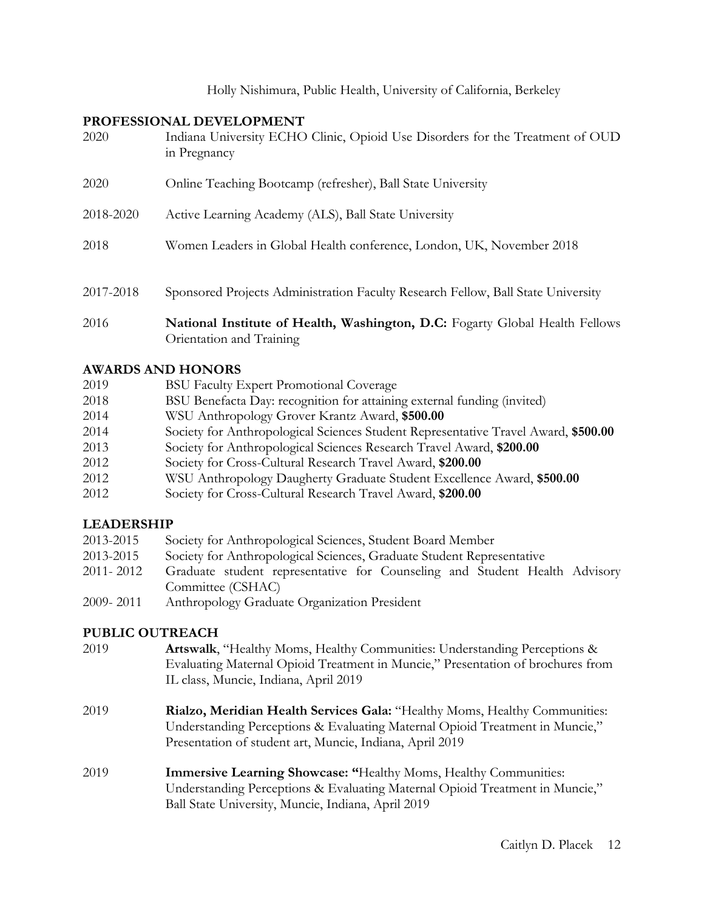Holly Nishimura, Public Health, University of California, Berkeley

#### **PROFESSIONAL DEVELOPMENT**

| 2020      | Indiana University ECHO Clinic, Opioid Use Disorders for the Treatment of OUD<br>in Pregnancy            |
|-----------|----------------------------------------------------------------------------------------------------------|
| 2020      | Online Teaching Bootcamp (refresher), Ball State University                                              |
| 2018-2020 | Active Learning Academy (ALS), Ball State University                                                     |
| 2018      | Women Leaders in Global Health conference, London, UK, November 2018                                     |
| 2017-2018 | Sponsored Projects Administration Faculty Research Fellow, Ball State University                         |
| 2016      | National Institute of Health, Washington, D.C: Fogarty Global Health Fellows<br>Orientation and Training |

### **AWARDS AND HONORS**

| 2019 | <b>BSU Faculty Expert Promotional Coverage</b>                                     |
|------|------------------------------------------------------------------------------------|
| 2018 | BSU Benefacta Day: recognition for attaining external funding (invited)            |
| 2014 | WSU Anthropology Grover Krantz Award, \$500.00                                     |
| 2014 | Society for Anthropological Sciences Student Representative Travel Award, \$500.00 |
| 2013 | Society for Anthropological Sciences Research Travel Award, \$200.00               |
| 2012 | Society for Cross-Cultural Research Travel Award, \$200.00                         |
| 2012 | WSU Anthropology Daugherty Graduate Student Excellence Award, \$500.00             |
| 2012 | Society for Cross-Cultural Research Travel Award, \$200.00                         |

## **LEADERSHIP**

- 2013-2015 Society for Anthropological Sciences, Student Board Member
- 2013-2015 Society for Anthropological Sciences, Graduate Student Representative
- 2011- 2012 Graduate student representative for Counseling and Student Health Advisory Committee (CSHAC)
- 2009- 2011 Anthropology Graduate Organization President

### **PUBLIC OUTREACH**

- 2019 **Artswalk**, "Healthy Moms, Healthy Communities: Understanding Perceptions & Evaluating Maternal Opioid Treatment in Muncie," Presentation of brochures from IL class, Muncie, Indiana, April 2019
- 2019 **Rialzo, Meridian Health Services Gala:** "Healthy Moms, Healthy Communities: Understanding Perceptions & Evaluating Maternal Opioid Treatment in Muncie," Presentation of student art, Muncie, Indiana, April 2019
- 2019 **Immersive Learning Showcase: "**Healthy Moms, Healthy Communities: Understanding Perceptions & Evaluating Maternal Opioid Treatment in Muncie," Ball State University, Muncie, Indiana, April 2019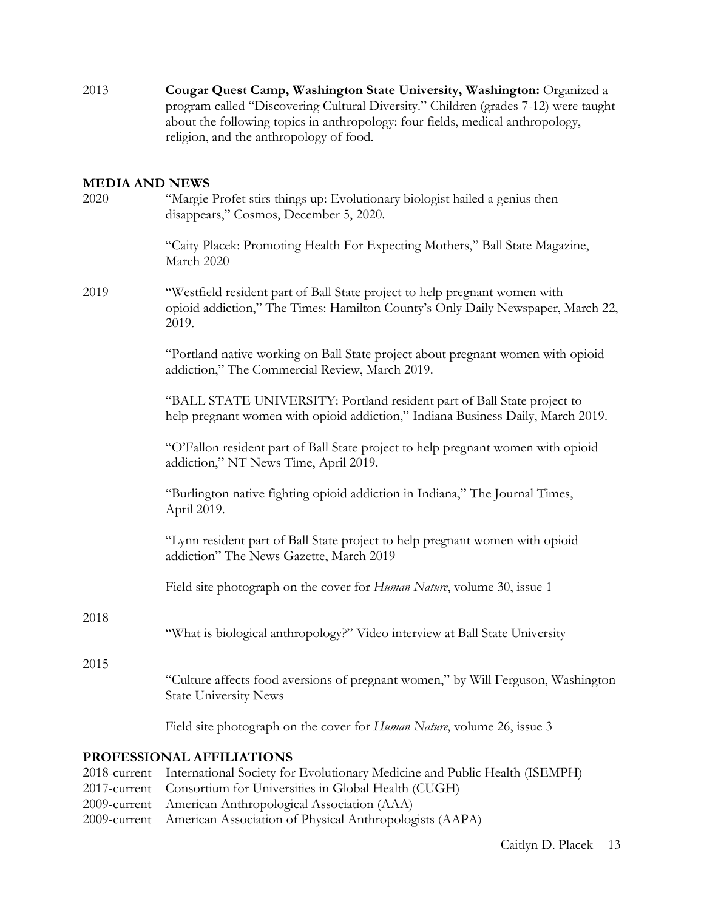2013 **Cougar Quest Camp, Washington State University, Washington:** Organized a program called "Discovering Cultural Diversity." Children (grades 7-12) were taught about the following topics in anthropology: four fields, medical anthropology, religion, and the anthropology of food.

#### **MEDIA AND NEWS**

| 2020 | "Margie Profet stirs things up: Evolutionary biologist hailed a genius then<br>disappears," Cosmos, December 5, 2020.                                                  |
|------|------------------------------------------------------------------------------------------------------------------------------------------------------------------------|
|      | "Caity Placek: Promoting Health For Expecting Mothers," Ball State Magazine,<br>March 2020                                                                             |
| 2019 | "Westfield resident part of Ball State project to help pregnant women with<br>opioid addiction," The Times: Hamilton County's Only Daily Newspaper, March 22,<br>2019. |
|      | "Portland native working on Ball State project about pregnant women with opioid<br>addiction," The Commercial Review, March 2019.                                      |
|      | "BALL STATE UNIVERSITY: Portland resident part of Ball State project to<br>help pregnant women with opioid addiction," Indiana Business Daily, March 2019.             |
|      | "O'Fallon resident part of Ball State project to help pregnant women with opioid<br>addiction," NT News Time, April 2019.                                              |
|      | "Burlington native fighting opioid addiction in Indiana," The Journal Times,<br>April 2019.                                                                            |
|      | "Lynn resident part of Ball State project to help pregnant women with opioid<br>addiction" The News Gazette, March 2019                                                |
|      | Field site photograph on the cover for <i>Human Nature</i> , volume 30, issue 1                                                                                        |
| 2018 | "What is biological anthropology?" Video interview at Ball State University                                                                                            |
| 2015 |                                                                                                                                                                        |
|      | "Culture affects food aversions of pregnant women," by Will Ferguson, Washington<br><b>State University News</b>                                                       |
|      | Field site photograph on the cover for <i>Human Nature</i> , volume 26, issue 3                                                                                        |
|      | PROFESSIONAL AFFILIATIONS                                                                                                                                              |

| 2018-current International Society for Evolutionary Medicine and Public Health (ISEMPH) |
|-----------------------------------------------------------------------------------------|
| 2017-current Consortium for Universities in Global Health (CUGH)                        |
| 2009-current American Anthropological Association (AAA)                                 |
| 2009-current American Association of Physical Anthropologists (AAPA)                    |